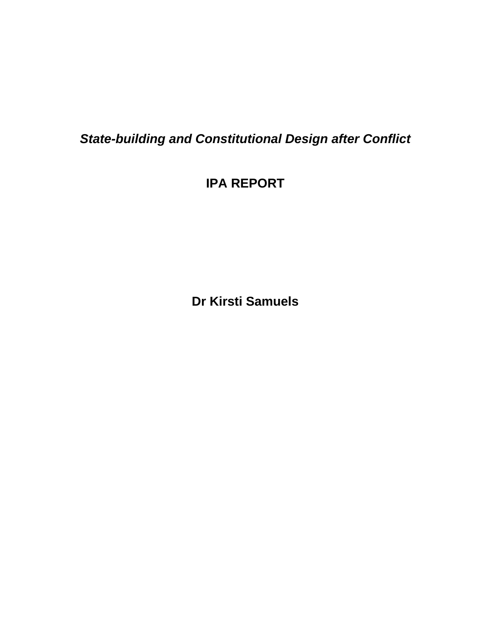*State-building and Constitutional Design after Conflict*

**IPA REPORT** 

**Dr Kirsti Samuels**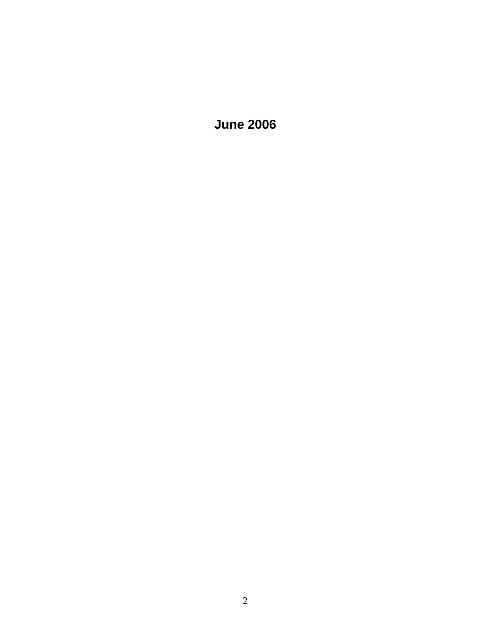**June 2006**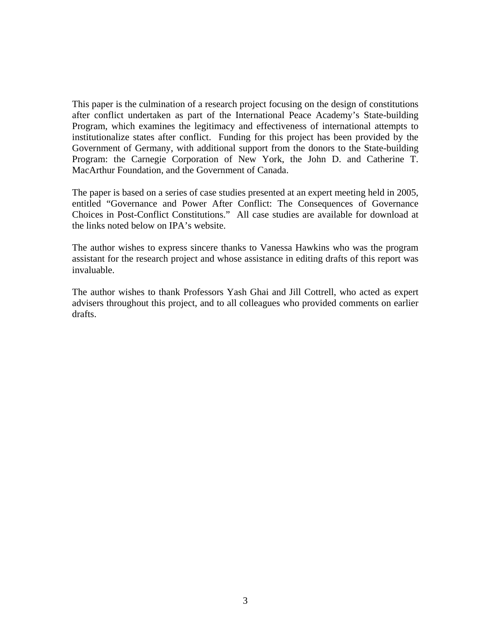This paper is the culmination of a research project focusing on the design of constitutions after conflict undertaken as part of the International Peace Academy's State-building Program, which examines the legitimacy and effectiveness of international attempts to institutionalize states after conflict. Funding for this project has been provided by the Government of Germany, with additional support from the donors to the State-building Program: the Carnegie Corporation of New York, the John D. and Catherine T. MacArthur Foundation, and the Government of Canada.

The paper is based on a series of case studies presented at an expert meeting held in 2005, entitled "Governance and Power After Conflict: The Consequences of Governance Choices in Post-Conflict Constitutions." All case studies are available for download at the links noted below on IPA's website.

The author wishes to express sincere thanks to Vanessa Hawkins who was the program assistant for the research project and whose assistance in editing drafts of this report was invaluable.

The author wishes to thank Professors Yash Ghai and Jill Cottrell, who acted as expert advisers throughout this project, and to all colleagues who provided comments on earlier drafts.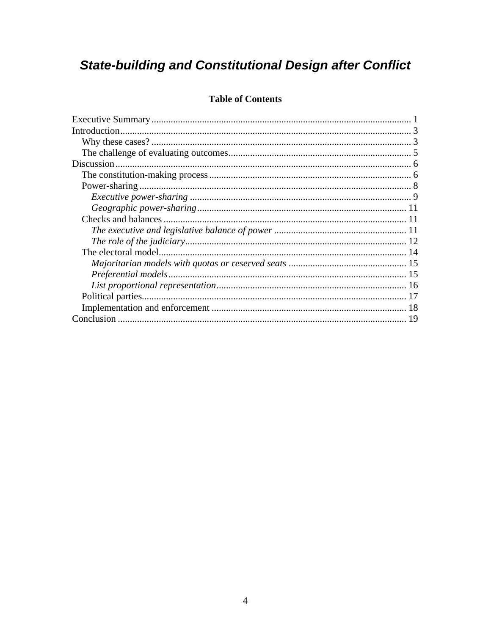# **State-building and Constitutional Design after Conflict**

## **Table of Contents**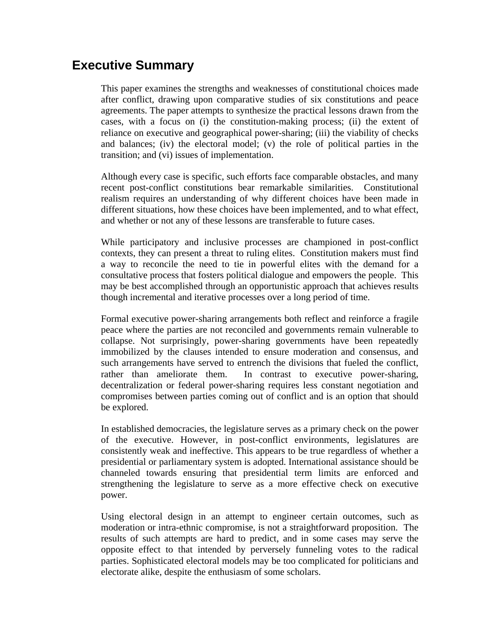## <span id="page-4-0"></span>**Executive Summary**

This paper examines the strengths and weaknesses of constitutional choices made after conflict, drawing upon comparative studies of six constitutions and peace agreements. The paper attempts to synthesize the practical lessons drawn from the cases, with a focus on (i) the constitution-making process; (ii) the extent of reliance on executive and geographical power-sharing; (iii) the viability of checks and balances; (iv) the electoral model; (v) the role of political parties in the transition; and (vi) issues of implementation.

Although every case is specific, such efforts face comparable obstacles, and many recent post-conflict constitutions bear remarkable similarities. Constitutional realism requires an understanding of why different choices have been made in different situations, how these choices have been implemented, and to what effect, and whether or not any of these lessons are transferable to future cases.

While participatory and inclusive processes are championed in post-conflict contexts, they can present a threat to ruling elites. Constitution makers must find a way to reconcile the need to tie in powerful elites with the demand for a consultative process that fosters political dialogue and empowers the people. This may be best accomplished through an opportunistic approach that achieves results though incremental and iterative processes over a long period of time.

Formal executive power-sharing arrangements both reflect and reinforce a fragile peace where the parties are not reconciled and governments remain vulnerable to collapse. Not surprisingly, power-sharing governments have been repeatedly immobilized by the clauses intended to ensure moderation and consensus, and such arrangements have served to entrench the divisions that fueled the conflict, rather than ameliorate them. In contrast to executive power-sharing, decentralization or federal power-sharing requires less constant negotiation and compromises between parties coming out of conflict and is an option that should be explored.

In established democracies, the legislature serves as a primary check on the power of the executive. However, in post-conflict environments, legislatures are consistently weak and ineffective. This appears to be true regardless of whether a presidential or parliamentary system is adopted. International assistance should be channeled towards ensuring that presidential term limits are enforced and strengthening the legislature to serve as a more effective check on executive power.

Using electoral design in an attempt to engineer certain outcomes, such as moderation or intra-ethnic compromise, is not a straightforward proposition. The results of such attempts are hard to predict, and in some cases may serve the opposite effect to that intended by perversely funneling votes to the radical parties. Sophisticated electoral models may be too complicated for politicians and electorate alike, despite the enthusiasm of some scholars.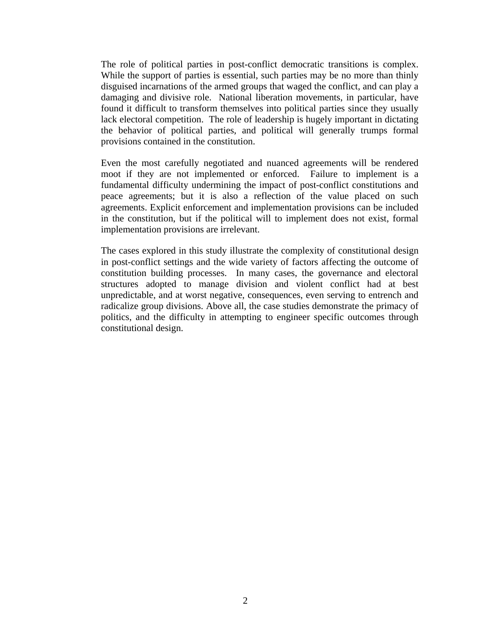The role of political parties in post-conflict democratic transitions is complex. While the support of parties is essential, such parties may be no more than thinly disguised incarnations of the armed groups that waged the conflict, and can play a damaging and divisive role. National liberation movements, in particular, have found it difficult to transform themselves into political parties since they usually lack electoral competition. The role of leadership is hugely important in dictating the behavior of political parties, and political will generally trumps formal provisions contained in the constitution.

Even the most carefully negotiated and nuanced agreements will be rendered moot if they are not implemented or enforced. Failure to implement is a fundamental difficulty undermining the impact of post-conflict constitutions and peace agreements; but it is also a reflection of the value placed on such agreements. Explicit enforcement and implementation provisions can be included in the constitution, but if the political will to implement does not exist, formal implementation provisions are irrelevant.

The cases explored in this study illustrate the complexity of constitutional design in post-conflict settings and the wide variety of factors affecting the outcome of constitution building processes. In many cases, the governance and electoral structures adopted to manage division and violent conflict had at best unpredictable, and at worst negative, consequences, even serving to entrench and radicalize group divisions. Above all, the case studies demonstrate the primacy of politics, and the difficulty in attempting to engineer specific outcomes through constitutional design.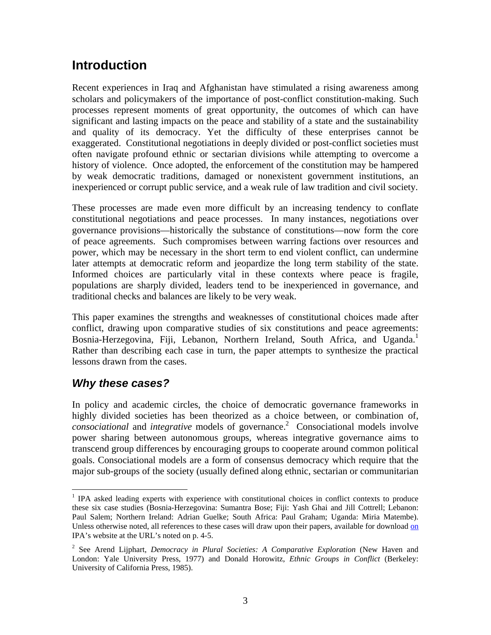## <span id="page-6-0"></span>**Introduction**

Recent experiences in Iraq and Afghanistan have stimulated a rising awareness among scholars and policymakers of the importance of post-conflict constitution-making. Such processes represent moments of great opportunity, the outcomes of which can have significant and lasting impacts on the peace and stability of a state and the sustainability and quality of its democracy. Yet the difficulty of these enterprises cannot be exaggerated. Constitutional negotiations in deeply divided or post-conflict societies must often navigate profound ethnic or sectarian divisions while attempting to overcome a history of violence. Once adopted, the enforcement of the constitution may be hampered by weak democratic traditions, damaged or nonexistent government institutions, an inexperienced or corrupt public service, and a weak rule of law tradition and civil society.

These processes are made even more difficult by an increasing tendency to conflate constitutional negotiations and peace processes. In many instances, negotiations over governance provisions—historically the substance of constitutions—now form the core of peace agreements. Such compromises between warring factions over resources and power, which may be necessary in the short term to end violent conflict, can undermine later attempts at democratic reform and jeopardize the long term stability of the state. Informed choices are particularly vital in these contexts where peace is fragile, populations are sharply divided, leaders tend to be inexperienced in governance, and traditional checks and balances are likely to be very weak.

This paper examines the strengths and weaknesses of constitutional choices made after conflict, drawing upon comparative studies of six constitutions and peace agreements: Bosnia-Herzegovina, Fiji, Lebanon, Northern Ireland, South Africa, and Uganda.<sup>[1](#page-6-1)</sup> Rather than describing each case in turn, the paper attempts to synthesize the practical lessons drawn from the cases.

## *Why these cases?*

1

In policy and academic circles, the choice of democratic governance frameworks in highly divided societies has been theorized as a choice between, or combination of, *consociational* and *integrative* models of governance.<sup>2</sup> Consociational models involve power sharing between autonomous groups, wherea[s](#page-6-2) integrative governance aims to transcend group differences by encouraging groups to cooperate around common political goals. Consociational models are a form of consensus democracy which require that the major sub-groups of the society (usually defined along ethnic, sectarian or communitarian

<span id="page-6-1"></span><sup>&</sup>lt;sup>1</sup> IPA asked leading experts with experience with constitutional choices in conflict contexts to produce these six case studies (Bosnia-Herzegovina: Sumantra Bose; Fiji: Yash Ghai and Jill Cottrell; Lebanon: Paul Salem; Northern Ireland: Adrian Guelke; South Africa: Paul Graham; Uganda: Miria Matembe). Unless otherwise noted, all references to these cases will draw upon their papers, available for download [on](http://on/) IPA's website at the URL's noted on p. 4-5.

<span id="page-6-2"></span><sup>2</sup> See Arend Lijphart, *Democracy in Plural Societies: A Comparative Exploration* (New Haven and London: Yale University Press, 1977) and Donald Horowitz, *Ethnic Groups in Conflict* (Berkeley: University of California Press, 1985).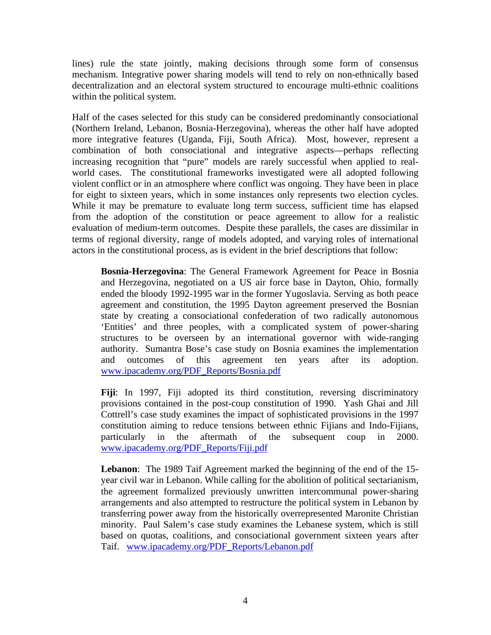lines) rule the state jointly, making decisions through some form of consensus mechanism. Integrative power sharing models will tend to rely on non-ethnically based decentralization and an electoral system structured to encourage multi-ethnic coalitions within the political system.

Half of the cases selected for this study can be considered predominantly consociational (Northern Ireland, Lebanon, Bosnia-Herzegovina), whereas the other half have adopted more integrative features (Uganda, Fiji, South Africa). Most, however, represent a combination of both consociational and integrative aspects—perhaps reflecting increasing recognition that "pure" models are rarely successful when applied to realworld cases. The constitutional frameworks investigated were all adopted following violent conflict or in an atmosphere where conflict was ongoing. They have been in place for eight to sixteen years, which in some instances only represents two election cycles. While it may be premature to evaluate long term success, sufficient time has elapsed from the adoption of the constitution or peace agreement to allow for a realistic evaluation of medium-term outcomes. Despite these parallels, the cases are dissimilar in terms of regional diversity, range of models adopted, and varying roles of international actors in the constitutional process, as is evident in the brief descriptions that follow:

**Bosnia-Herzegovina**: The General Framework Agreement for Peace in Bosnia and Herzegovina, negotiated on a US air force base in Dayton, Ohio, formally ended the bloody 1992-1995 war in the former Yugoslavia. Serving as both peace agreement and constitution, the 1995 Dayton agreement preserved the Bosnian state by creating a consociational confederation of two radically autonomous 'Entities' and three peoples, with a complicated system of power-sharing structures to be overseen by an international governor with wide-ranging authority. Sumantra Bose's case study on Bosnia examines the implementation and outcomes of this agreement ten years after its adoption. [www.ipacademy.org/PDF\\_Reports/Bosnia.pdf](http://www.ipacademy.org/PDF_Reports/Bosnia.pdf)

**Fiji**: In 1997, Fiji adopted its third constitution, reversing discriminatory provisions contained in the post-coup constitution of 1990. Yash Ghai and Jill Cottrell's case study examines the impact of sophisticated provisions in the 1997 constitution aiming to reduce tensions between ethnic Fijians and Indo-Fijians, particularly in the aftermath of the subsequent coup in 2000. [www.ipacademy.org/PDF\\_Reports/Fiji.pdf](http://www.ipacademy.org/PDF_Reports/Fiji.pdf)

**Lebanon**: The 1989 Taif Agreement marked the beginning of the end of the 15year civil war in Lebanon. While calling for the abolition of political sectarianism, the agreement formalized previously unwritten intercommunal power-sharing arrangements and also attempted to restructure the political system in Lebanon by transferring power away from the historically overrepresented Maronite Christian minority. Paul Salem's case study examines the Lebanese system, which is still based on quotas, coalitions, and consociational government sixteen years after Taif. [www.ipacademy.org/PDF\\_Reports/Lebanon.pdf](http://www.ipacademy.org/PDF_Reports/Lebanon.pdf)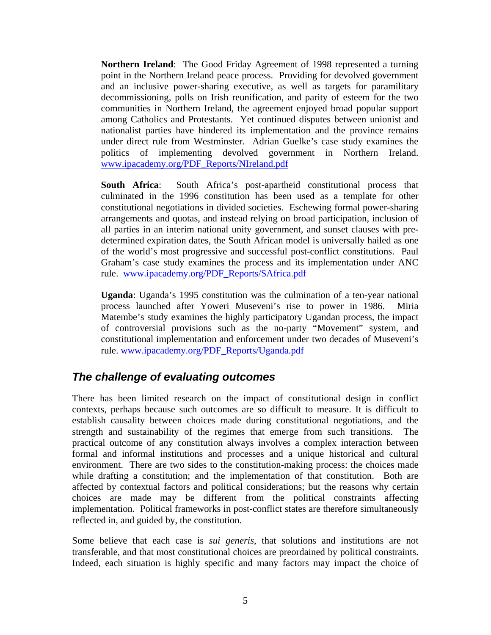<span id="page-8-0"></span>**Northern Ireland:** The Good Friday Agreement of 1998 represented a turning point in the Northern Ireland peace process. Providing for devolved government and an inclusive power-sharing executive, as well as targets for paramilitary decommissioning, polls on Irish reunification, and parity of esteem for the two communities in Northern Ireland, the agreement enjoyed broad popular support among Catholics and Protestants. Yet continued disputes between unionist and nationalist parties have hindered its implementation and the province remains under direct rule from Westminster. Adrian Guelke's case study examines the politics of implementing devolved government in Northern Ireland. [www.ipacademy.org/PDF\\_Reports/NIreland.pdf](http://www.ipacademy.org/PDF_Reports/NIreland.pdf)

**South Africa**: South Africa's post-apartheid constitutional process that culminated in the 1996 constitution has been used as a template for other constitutional negotiations in divided societies. Eschewing formal power-sharing arrangements and quotas, and instead relying on broad participation, inclusion of all parties in an interim national unity government, and sunset clauses with predetermined expiration dates, the South African model is universally hailed as one of the world's most progressive and successful post-conflict constitutions. Paul Graham's case study examines the process and its implementation under ANC rule. [www.ipacademy.org/PDF\\_Reports/SAfrica.pdf](http://www.ipacademy.org/PDF_Reports/SAfrica.pdf)

**Uganda**: Uganda's 1995 constitution was the culmination of a ten-year national process launched after Yoweri Museveni's rise to power in 1986. Miria Matembe's study examines the highly participatory Ugandan process, the impact of controversial provisions such as the no-party "Movement" system, and constitutional implementation and enforcement under two decades of Museveni's rule. [www.ipacademy.org/PDF\\_Reports/Uganda.pdf](http://www.ipacademy.org/PDF_Reports/Uganda.pdf)

## *The challenge of evaluating outcomes*

There has been limited research on the impact of constitutional design in conflict contexts, perhaps because such outcomes are so difficult to measure. It is difficult to establish causality between choices made during constitutional negotiations, and the strength and sustainability of the regimes that emerge from such transitions. The practical outcome of any constitution always involves a complex interaction between formal and informal institutions and processes and a unique historical and cultural environment. There are two sides to the constitution-making process: the choices made while drafting a constitution; and the implementation of that constitution. Both are affected by contextual factors and political considerations; but the reasons why certain choices are made may be different from the political constraints affecting implementation. Political frameworks in post-conflict states are therefore simultaneously reflected in, and guided by, the constitution.

Some believe that each case is *sui generis*, that solutions and institutions are not transferable, and that most constitutional choices are preordained by political constraints. Indeed, each situation is highly specific and many factors may impact the choice of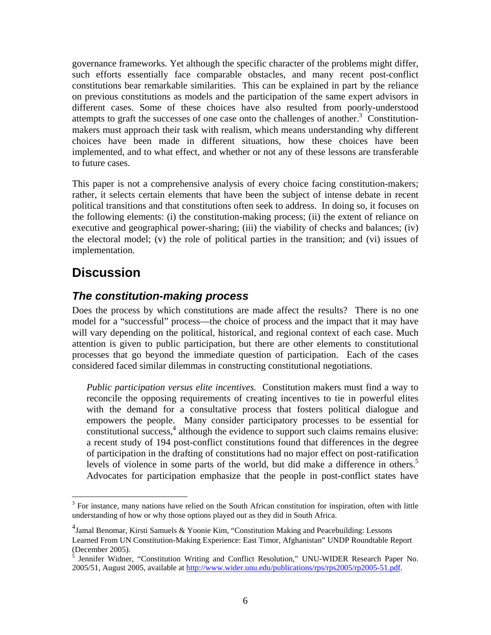<span id="page-9-0"></span>governance frameworks. Yet although the specific character of the problems might differ, such efforts essentially face comparable obstacles, and many recent post-conflict constitutions bear remarkable similarities. This can be explained in part by the reliance on previous constitutions as models and the participation of the same expert advisors in different cases. Some of these choices have also resulted from poorly-understood attempts to graft the successes of one case onto the challenges of another.<sup>[3](#page-9-1)</sup> Constitutionmakers must approach their task with realism, which means understanding why different choices have been made in different situations, how these choices have been implemented, and to what effect, and whether or not any of these lessons are transferable to future cases.

This paper is not a comprehensive analysis of every choice facing constitution-makers; rather, it selects certain elements that have been the subject of intense debate in recent political transitions and that constitutions often seek to address. In doing so, it focuses on the following elements: (i) the constitution-making process; (ii) the extent of reliance on executive and geographical power-sharing; (iii) the viability of checks and balances; (iv) the electoral model; (v) the role of political parties in the transition; and (vi) issues of implementation.

## **Discussion**

## *The constitution-making process*

Does the process by which constitutions are made affect the results? There is no one model for a "successful" process—the choice of process and the impact that it may have will vary depending on the political, historical, and regional context of each case. Much attention is given to public participation, but there are other elements to constitutional processes that go beyond the immediate question of participation. Each of the cases considered faced similar dilemmas in constructing constitutional negotiations.

*Public participation versus elite incentives.* Constitution makers must find a way to reconcile the opposing requirements of creating incentives to tie in powerful elites with the demand for a consultative process that fosters political dialogue and empowers the people. Many consider participatory processes to be essential for  $\frac{1}{2}$  constitutional success,<sup>4</sup> although the evidence to support such claims remains elusive: a recent study of 194 post-conflict constitutions found that differences in the degree of participation in the drafting of constitutions had no major effect on post-ratification levels of violence in some parts of the world, but did make a difference in others.<sup>5</sup> Advocates for participation emphasize that the people in post-conflict states have

<span id="page-9-1"></span><sup>&</sup>lt;u>.</u> <sup>3</sup> For instance, many nations have relied on the South African constitution for inspiration, often with little understanding of how or why those options played out as they did in South Africa.

<span id="page-9-2"></span><sup>&</sup>lt;sup>4</sup> Jamal Benomar, Kirsti Samuels & Yoonie Kim, "Constitution Making and Peacebuilding: Lessons Learned From UN Constitution-Making Experience: East Timor, Afghanistan" UNDP Roundtable Report (December 2005).

<span id="page-9-3"></span> $\hat{S}$  Jennifer Widner, "Constitution Writing and Conflict Resolution," UNU-WIDER Research Paper No. 2005/51, August 2005, available at [http://www.wider.unu.edu/publications/rps/rps2005/rp2005-51.pdf.](http://www.wider.unu.edu/publications/rps/rps2005/rp2005-51.pdf)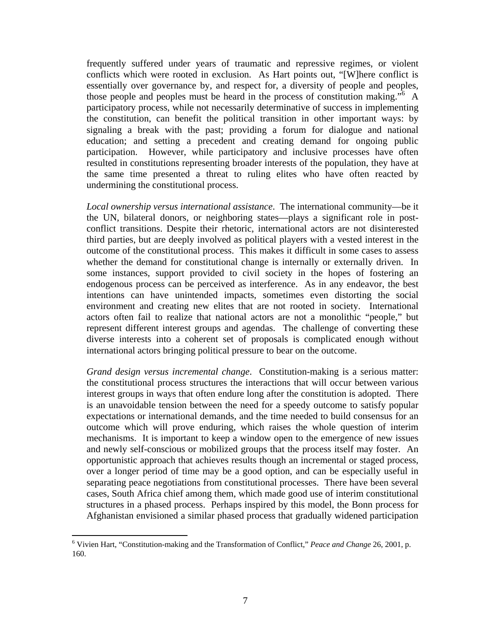frequently suffered under years of traumatic and repressive regimes, or violent conflicts which were rooted in exclusion. As Hart points out, "[W]here conflict is essentially over governance by, and respect for, a diversity of people and peoples, those people and peoples must be heard in the process of constitution making."<sup>[6](#page-10-0)</sup> A participatory process, while not necessarily determinative of success in implementing the constitution, can benefit the political transition in other important ways: by signaling a break with the past; providing a forum for dialogue and national education; and setting a precedent and creating demand for ongoing public participation. However, while participatory and inclusive processes have often resulted in constitutions representing broader interests of the population, they have at the same time presented a threat to ruling elites who have often reacted by undermining the constitutional process.

*Local ownership versus international assistance*. The international community—be it the UN, bilateral donors, or neighboring states—plays a significant role in postconflict transitions. Despite their rhetoric, international actors are not disinterested third parties, but are deeply involved as political players with a vested interest in the outcome of the constitutional process. This makes it difficult in some cases to assess whether the demand for constitutional change is internally or externally driven. In some instances, support provided to civil society in the hopes of fostering an endogenous process can be perceived as interference. As in any endeavor, the best intentions can have unintended impacts, sometimes even distorting the social environment and creating new elites that are not rooted in society. International actors often fail to realize that national actors are not a monolithic "people," but represent different interest groups and agendas. The challenge of converting these diverse interests into a coherent set of proposals is complicated enough without international actors bringing political pressure to bear on the outcome.

*Grand design versus incremental change*. Constitution-making is a serious matter: the constitutional process structures the interactions that will occur between various interest groups in ways that often endure long after the constitution is adopted. There is an unavoidable tension between the need for a speedy outcome to satisfy popular expectations or international demands, and the time needed to build consensus for an outcome which will prove enduring, which raises the whole question of interim mechanisms. It is important to keep a window open to the emergence of new issues and newly self-conscious or mobilized groups that the process itself may foster. An opportunistic approach that achieves results though an incremental or staged process, over a longer period of time may be a good option, and can be especially useful in separating peace negotiations from constitutional processes. There have been several cases, South Africa chief among them, which made good use of interim constitutional structures in a phased process. Perhaps inspired by this model, the Bonn process for Afghanistan envisioned a similar phased process that gradually widened participation

1

<span id="page-10-0"></span><sup>6</sup> Vivien Hart, "Constitution-making and the Transformation of Conflict," *Peace and Change* 26, 2001, p. 160.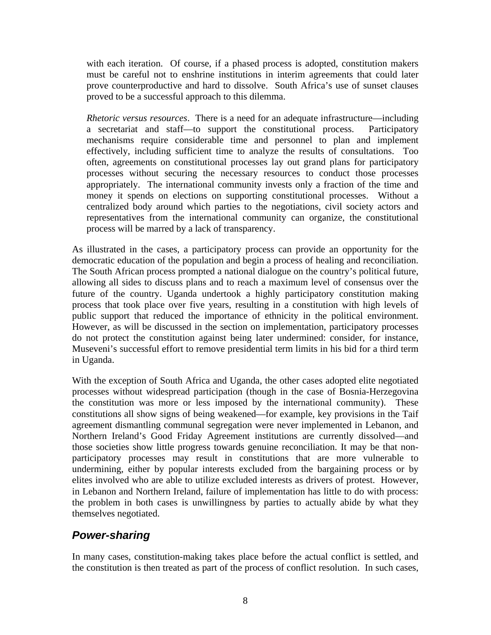<span id="page-11-0"></span>with each iteration. Of course, if a phased process is adopted, constitution makers must be careful not to enshrine institutions in interim agreements that could later prove counterproductive and hard to dissolve. South Africa's use of sunset clauses proved to be a successful approach to this dilemma.

*Rhetoric versus resources*. There is a need for an adequate infrastructure—including a secretariat and staff—to support the constitutional process. Participatory mechanisms require considerable time and personnel to plan and implement effectively, including sufficient time to analyze the results of consultations. Too often, agreements on constitutional processes lay out grand plans for participatory processes without securing the necessary resources to conduct those processes appropriately. The international community invests only a fraction of the time and money it spends on elections on supporting constitutional processes. Without a centralized body around which parties to the negotiations, civil society actors and representatives from the international community can organize, the constitutional process will be marred by a lack of transparency.

As illustrated in the cases, a participatory process can provide an opportunity for the democratic education of the population and begin a process of healing and reconciliation. The South African process prompted a national dialogue on the country's political future, allowing all sides to discuss plans and to reach a maximum level of consensus over the future of the country. Uganda undertook a highly participatory constitution making process that took place over five years, resulting in a constitution with high levels of public support that reduced the importance of ethnicity in the political environment. However, as will be discussed in the section on implementation, participatory processes do not protect the constitution against being later undermined: consider, for instance, Museveni's successful effort to remove presidential term limits in his bid for a third term in Uganda.

With the exception of South Africa and Uganda, the other cases adopted elite negotiated processes without widespread participation (though in the case of Bosnia-Herzegovina the constitution was more or less imposed by the international community). These constitutions all show signs of being weakened—for example, key provisions in the Taif agreement dismantling communal segregation were never implemented in Lebanon, and Northern Ireland's Good Friday Agreement institutions are currently dissolved—and those societies show little progress towards genuine reconciliation. It may be that nonparticipatory processes may result in constitutions that are more vulnerable to undermining, either by popular interests excluded from the bargaining process or by elites involved who are able to utilize excluded interests as drivers of protest. However, in Lebanon and Northern Ireland, failure of implementation has little to do with process: the problem in both cases is unwillingness by parties to actually abide by what they themselves negotiated.

## *Power-sharing*

In many cases, constitution-making takes place before the actual conflict is settled, and the constitution is then treated as part of the process of conflict resolution. In such cases,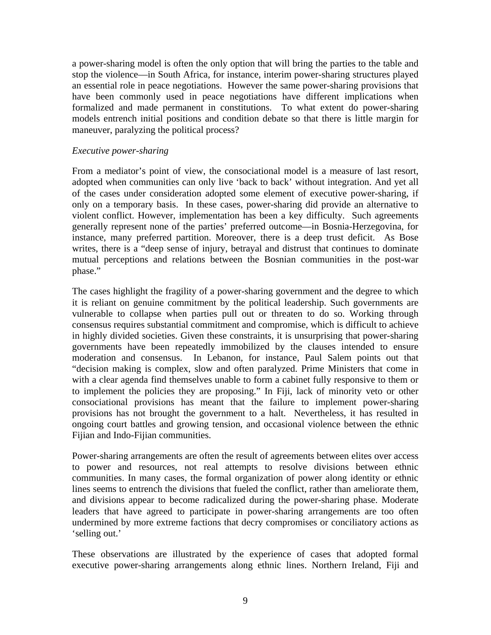<span id="page-12-0"></span>a power-sharing model is often the only option that will bring the parties to the table and stop the violence—in South Africa, for instance, interim power-sharing structures played an essential role in peace negotiations. However the same power-sharing provisions that have been commonly used in peace negotiations have different implications when formalized and made permanent in constitutions. To what extent do power-sharing models entrench initial positions and condition debate so that there is little margin for maneuver, paralyzing the political process?

#### *Executive power-sharing*

From a mediator's point of view, the consociational model is a measure of last resort, adopted when communities can only live 'back to back' without integration. And yet all of the cases under consideration adopted some element of executive power-sharing, if only on a temporary basis. In these cases, power-sharing did provide an alternative to violent conflict. However, implementation has been a key difficulty. Such agreements generally represent none of the parties' preferred outcome—in Bosnia-Herzegovina, for instance, many preferred partition. Moreover, there is a deep trust deficit. As Bose writes, there is a "deep sense of injury, betrayal and distrust that continues to dominate mutual perceptions and relations between the Bosnian communities in the post-war phase."

The cases highlight the fragility of a power-sharing government and the degree to which it is reliant on genuine commitment by the political leadership. Such governments are vulnerable to collapse when parties pull out or threaten to do so. Working through consensus requires substantial commitment and compromise, which is difficult to achieve in highly divided societies. Given these constraints, it is unsurprising that power-sharing governments have been repeatedly immobilized by the clauses intended to ensure moderation and consensus. In Lebanon, for instance, Paul Salem points out that "decision making is complex, slow and often paralyzed. Prime Ministers that come in with a clear agenda find themselves unable to form a cabinet fully responsive to them or to implement the policies they are proposing." In Fiji, lack of minority veto or other consociational provisions has meant that the failure to implement power-sharing provisions has not brought the government to a halt. Nevertheless, it has resulted in ongoing court battles and growing tension, and occasional violence between the ethnic Fijian and Indo-Fijian communities.

Power-sharing arrangements are often the result of agreements between elites over access to power and resources, not real attempts to resolve divisions between ethnic communities. In many cases, the formal organization of power along identity or ethnic lines seems to entrench the divisions that fueled the conflict, rather than ameliorate them, and divisions appear to become radicalized during the power-sharing phase. Moderate leaders that have agreed to participate in power-sharing arrangements are too often undermined by more extreme factions that decry compromises or conciliatory actions as 'selling out.'

These observations are illustrated by the experience of cases that adopted formal executive power-sharing arrangements along ethnic lines. Northern Ireland, Fiji and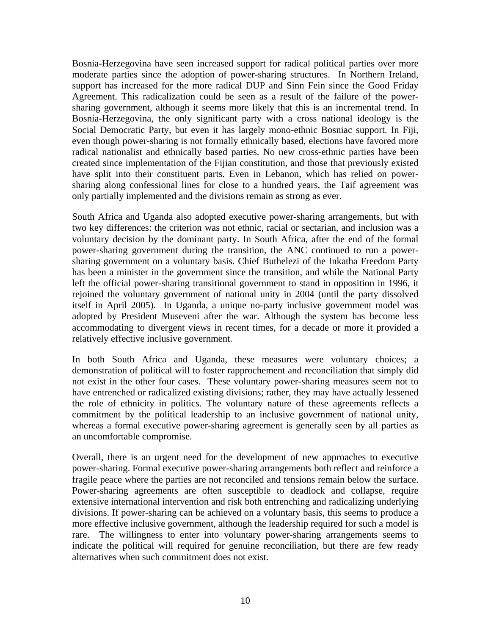Bosnia-Herzegovina have seen increased support for radical political parties over more moderate parties since the adoption of power-sharing structures. In Northern Ireland, support has increased for the more radical DUP and Sinn Fein since the Good Friday Agreement. This radicalization could be seen as a result of the failure of the powersharing government, although it seems more likely that this is an incremental trend. In Bosnia-Herzegovina, the only significant party with a cross national ideology is the Social Democratic Party, but even it has largely mono-ethnic Bosniac support. In Fiji, even though power-sharing is not formally ethnically based, elections have favored more radical nationalist and ethnically based parties. No new cross-ethnic parties have been created since implementation of the Fijian constitution, and those that previously existed have split into their constituent parts. Even in Lebanon, which has relied on powersharing along confessional lines for close to a hundred years, the Taif agreement was only partially implemented and the divisions remain as strong as ever.

South Africa and Uganda also adopted executive power-sharing arrangements, but with two key differences: the criterion was not ethnic, racial or sectarian, and inclusion was a voluntary decision by the dominant party. In South Africa, after the end of the formal power-sharing government during the transition, the ANC continued to run a powersharing government on a voluntary basis. Chief Buthelezi of the Inkatha Freedom Party has been a minister in the government since the transition, and while the National Party left the official power-sharing transitional government to stand in opposition in 1996, it rejoined the voluntary government of national unity in 2004 (until the party dissolved itself in April 2005). In Uganda, a unique no-party inclusive government model was adopted by President Museveni after the war. Although the system has become less accommodating to divergent views in recent times, for a decade or more it provided a relatively effective inclusive government.

In both South Africa and Uganda, these measures were voluntary choices; a demonstration of political will to foster rapprochement and reconciliation that simply did not exist in the other four cases. These voluntary power-sharing measures seem not to have entrenched or radicalized existing divisions; rather, they may have actually lessened the role of ethnicity in politics. The voluntary nature of these agreements reflects a commitment by the political leadership to an inclusive government of national unity, whereas a formal executive power-sharing agreement is generally seen by all parties as an uncomfortable compromise.

Overall, there is an urgent need for the development of new approaches to executive power-sharing. Formal executive power-sharing arrangements both reflect and reinforce a fragile peace where the parties are not reconciled and tensions remain below the surface. Power-sharing agreements are often susceptible to deadlock and collapse, require extensive international intervention and risk both entrenching and radicalizing underlying divisions. If power-sharing can be achieved on a voluntary basis, this seems to produce a more effective inclusive government, although the leadership required for such a model is rare. The willingness to enter into voluntary power-sharing arrangements seems to indicate the political will required for genuine reconciliation, but there are few ready alternatives when such commitment does not exist.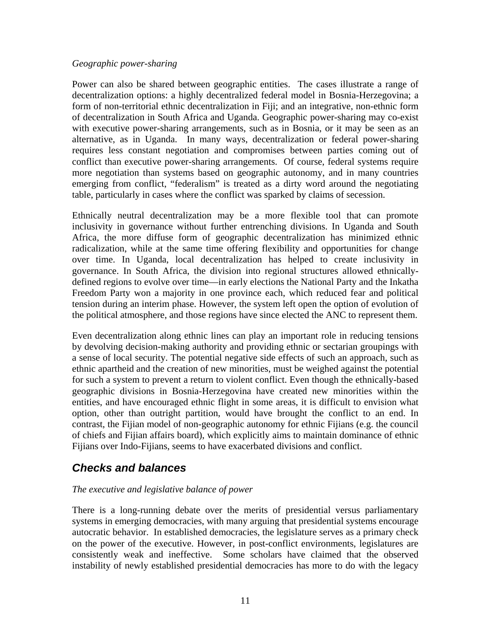#### <span id="page-14-0"></span>*Geographic power-sharing*

Power can also be shared between geographic entities. The cases illustrate a range of decentralization options: a highly decentralized federal model in Bosnia-Herzegovina; a form of non-territorial ethnic decentralization in Fiji; and an integrative, non-ethnic form of decentralization in South Africa and Uganda. Geographic power-sharing may co-exist with executive power-sharing arrangements, such as in Bosnia, or it may be seen as an alternative, as in Uganda. In many ways, decentralization or federal power-sharing requires less constant negotiation and compromises between parties coming out of conflict than executive power-sharing arrangements. Of course, federal systems require more negotiation than systems based on geographic autonomy, and in many countries emerging from conflict, "federalism" is treated as a dirty word around the negotiating table, particularly in cases where the conflict was sparked by claims of secession.

Ethnically neutral decentralization may be a more flexible tool that can promote inclusivity in governance without further entrenching divisions. In Uganda and South Africa, the more diffuse form of geographic decentralization has minimized ethnic radicalization, while at the same time offering flexibility and opportunities for change over time. In Uganda, local decentralization has helped to create inclusivity in governance. In South Africa, the division into regional structures allowed ethnicallydefined regions to evolve over time—in early elections the National Party and the Inkatha Freedom Party won a majority in one province each, which reduced fear and political tension during an interim phase. However, the system left open the option of evolution of the political atmosphere, and those regions have since elected the ANC to represent them.

Even decentralization along ethnic lines can play an important role in reducing tensions by devolving decision-making authority and providing ethnic or sectarian groupings with a sense of local security. The potential negative side effects of such an approach, such as ethnic apartheid and the creation of new minorities, must be weighed against the potential for such a system to prevent a return to violent conflict. Even though the ethnically-based geographic divisions in Bosnia-Herzegovina have created new minorities within the entities, and have encouraged ethnic flight in some areas, it is difficult to envision what option, other than outright partition, would have brought the conflict to an end. In contrast, the Fijian model of non-geographic autonomy for ethnic Fijians (e.g. the council of chiefs and Fijian affairs board), which explicitly aims to maintain dominance of ethnic Fijians over Indo-Fijians, seems to have exacerbated divisions and conflict.

## *Checks and balances*

#### *The executive and legislative balance of power*

There is a long-running debate over the merits of presidential versus parliamentary systems in emerging democracies, with many arguing that presidential systems encourage autocratic behavior. In established democracies, the legislature serves as a primary check on the power of the executive. However, in post-conflict environments, legislatures are consistently weak and ineffective. Some scholars have claimed that the observed instability of newly established presidential democracies has more to do with the legacy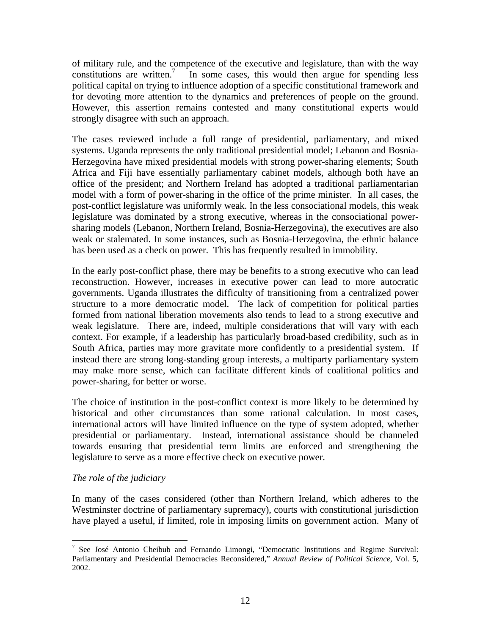<span id="page-15-0"></span>of military rule, and the competence of the executive and legislature, than with the way constitutions are written.<sup>7</sup> In some cases, this would then argue for spending less political capital on trying [to](#page-15-1) influence adoption of a specific constitutional framework and for devoting more attention to the dynamics and preferences of people on the ground. However, this assertion remains contested and many constitutional experts would strongly disagree with such an approach.

The cases reviewed include a full range of presidential, parliamentary, and mixed systems. Uganda represents the only traditional presidential model; Lebanon and Bosnia-Herzegovina have mixed presidential models with strong power-sharing elements; South Africa and Fiji have essentially parliamentary cabinet models, although both have an office of the president; and Northern Ireland has adopted a traditional parliamentarian model with a form of power-sharing in the office of the prime minister. In all cases, the post-conflict legislature was uniformly weak. In the less consociational models, this weak legislature was dominated by a strong executive, whereas in the consociational powersharing models (Lebanon, Northern Ireland, Bosnia-Herzegovina), the executives are also weak or stalemated. In some instances, such as Bosnia-Herzegovina, the ethnic balance has been used as a check on power. This has frequently resulted in immobility.

In the early post-conflict phase, there may be benefits to a strong executive who can lead reconstruction. However, increases in executive power can lead to more autocratic governments. Uganda illustrates the difficulty of transitioning from a centralized power structure to a more democratic model. The lack of competition for political parties formed from national liberation movements also tends to lead to a strong executive and weak legislature. There are, indeed, multiple considerations that will vary with each context. For example, if a leadership has particularly broad-based credibility, such as in South Africa, parties may more gravitate more confidently to a presidential system. If instead there are strong long-standing group interests, a multiparty parliamentary system may make more sense, which can facilitate different kinds of coalitional politics and power-sharing, for better or worse.

The choice of institution in the post-conflict context is more likely to be determined by historical and other circumstances than some rational calculation. In most cases, international actors will have limited influence on the type of system adopted, whether presidential or parliamentary. Instead, international assistance should be channeled towards ensuring that presidential term limits are enforced and strengthening the legislature to serve as a more effective check on executive power.

#### *The role of the judiciary*

In many of the cases considered (other than Northern Ireland, which adheres to the Westminster doctrine of parliamentary supremacy), courts with constitutional jurisdiction have played a useful, if limited, role in imposing limits on government action. Many of

<span id="page-15-1"></span> $\overline{a}$ <sup>7</sup> See José Antonio Cheibub and Fernando Limongi, "Democratic Institutions and Regime Survival: Parliamentary and Presidential Democracies Reconsidered," *Annual Review of Political Science,* Vol. 5, 2002.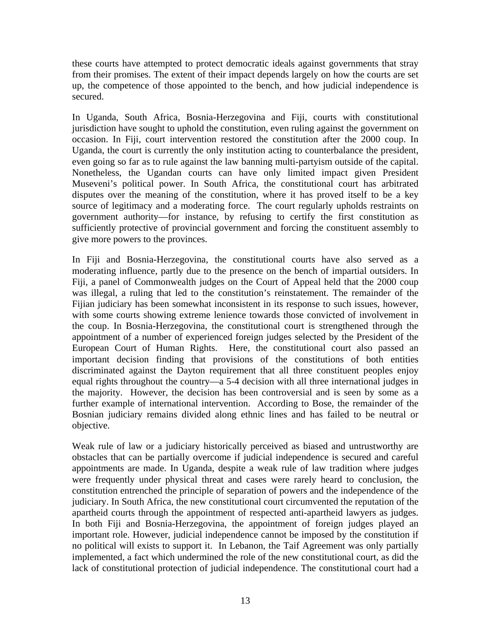these courts have attempted to protect democratic ideals against governments that stray from their promises. The extent of their impact depends largely on how the courts are set up, the competence of those appointed to the bench, and how judicial independence is secured.

In Uganda, South Africa, Bosnia-Herzegovina and Fiji, courts with constitutional jurisdiction have sought to uphold the constitution, even ruling against the government on occasion. In Fiji, court intervention restored the constitution after the 2000 coup. In Uganda, the court is currently the only institution acting to counterbalance the president, even going so far as to rule against the law banning multi-partyism outside of the capital. Nonetheless, the Ugandan courts can have only limited impact given President Museveni's political power. In South Africa, the constitutional court has arbitrated disputes over the meaning of the constitution, where it has proved itself to be a key source of legitimacy and a moderating force. The court regularly upholds restraints on government authority—for instance, by refusing to certify the first constitution as sufficiently protective of provincial government and forcing the constituent assembly to give more powers to the provinces.

In Fiji and Bosnia-Herzegovina, the constitutional courts have also served as a moderating influence, partly due to the presence on the bench of impartial outsiders. In Fiji, a panel of Commonwealth judges on the Court of Appeal held that the 2000 coup was illegal, a ruling that led to the constitution's reinstatement. The remainder of the Fijian judiciary has been somewhat inconsistent in its response to such issues, however, with some courts showing extreme lenience towards those convicted of involvement in the coup. In Bosnia-Herzegovina, the constitutional court is strengthened through the appointment of a number of experienced foreign judges selected by the President of the European Court of Human Rights. Here, the constitutional court also passed an important decision finding that provisions of the constitutions of both entities discriminated against the Dayton requirement that all three constituent peoples enjoy equal rights throughout the country—a 5-4 decision with all three international judges in the majority. However, the decision has been controversial and is seen by some as a further example of international intervention. According to Bose, the remainder of the Bosnian judiciary remains divided along ethnic lines and has failed to be neutral or objective.

Weak rule of law or a judiciary historically perceived as biased and untrustworthy are obstacles that can be partially overcome if judicial independence is secured and careful appointments are made. In Uganda, despite a weak rule of law tradition where judges were frequently under physical threat and cases were rarely heard to conclusion, the constitution entrenched the principle of separation of powers and the independence of the judiciary. In South Africa, the new constitutional court circumvented the reputation of the apartheid courts through the appointment of respected anti-apartheid lawyers as judges. In both Fiji and Bosnia-Herzegovina, the appointment of foreign judges played an important role. However, judicial independence cannot be imposed by the constitution if no political will exists to support it. In Lebanon, the Taif Agreement was only partially implemented, a fact which undermined the role of the new constitutional court, as did the lack of constitutional protection of judicial independence. The constitutional court had a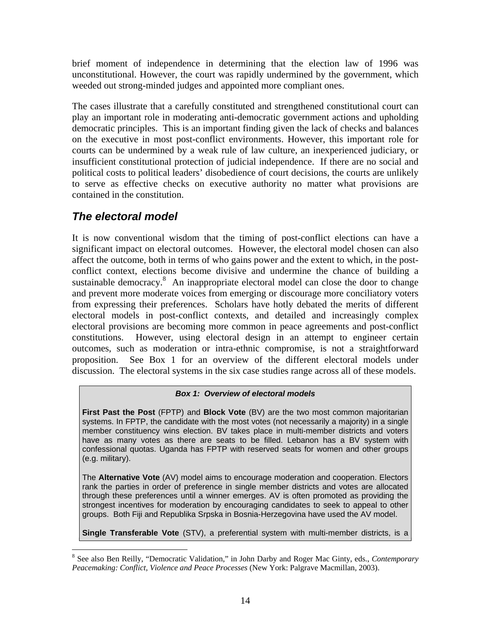<span id="page-17-0"></span>brief moment of independence in determining that the election law of 1996 was unconstitutional. However, the court was rapidly undermined by the government, which weeded out strong-minded judges and appointed more compliant ones.

The cases illustrate that a carefully constituted and strengthened constitutional court can play an important role in moderating anti-democratic government actions and upholding democratic principles. This is an important finding given the lack of checks and balances on the executive in most post-conflict environments. However, this important role for courts can be undermined by a weak rule of law culture, an inexperienced judiciary, or insufficient constitutional protection of judicial independence. If there are no social and political costs to political leaders' disobedience of court decisions, the courts are unlikely to serve as effective checks on executive authority no matter what provisions are contained in the constitution.

## *The electoral model*

 $\overline{a}$ 

It is now conventional wisdom that the timing of post-conflict elections can have a significant impact on electoral outcomes. However, the electoral model chosen can also affect the outcome, both in terms of who gains power and the extent to which, in the postconflict context, elections become divisive and undermine the chance of building a sustainable democracy. $8$  An inappropriate electoral model can close the door to change and prevent more mod[era](#page-17-1)te voices from emerging or discourage more conciliatory voters from expressing their preferences. Scholars have hotly debated the merits of different electoral models in post-conflict contexts, and detailed and increasingly complex electoral provisions are becoming more common in peace agreements and post-conflict constitutions. However, using electoral design in an attempt to engineer certain outcomes, such as moderation or intra-ethnic compromise, is not a straightforward proposition. See Box 1 for an overview of the different electoral models under discussion. The electoral systems in the six case studies range across all of these models.

#### *Box 1: Overview of electoral models*

**First Past the Post** (FPTP) and **Block Vote** (BV) are the two most common majoritarian systems. In FPTP, the candidate with the most votes (not necessarily a majority) in a single member constituency wins election. BV takes place in multi-member districts and voters have as many votes as there are seats to be filled. Lebanon has a BV system with confessional quotas. Uganda has FPTP with reserved seats for women and other groups (e.g. military).

The **Alternative Vote** (AV) model aims to encourage moderation and cooperation. Electors rank the parties in order of preference in single member districts and votes are allocated through these preferences until a winner emerges. AV is often promoted as providing the strongest incentives for moderation by encouraging candidates to seek to appeal to other groups. Both Fiji and Republika Srpska in Bosnia-Herzegovina have used the AV model.

**Single Transferable Vote** (STV), a preferential system with multi-member districts, is a

<span id="page-17-1"></span><sup>8</sup> See also Ben Reilly, "Democratic Validation," in John Darby and Roger Mac Ginty, eds., *Contemporary Peacemaking: Conflict, Violence and Peace Processes* (New York: Palgrave Macmillan, 2003).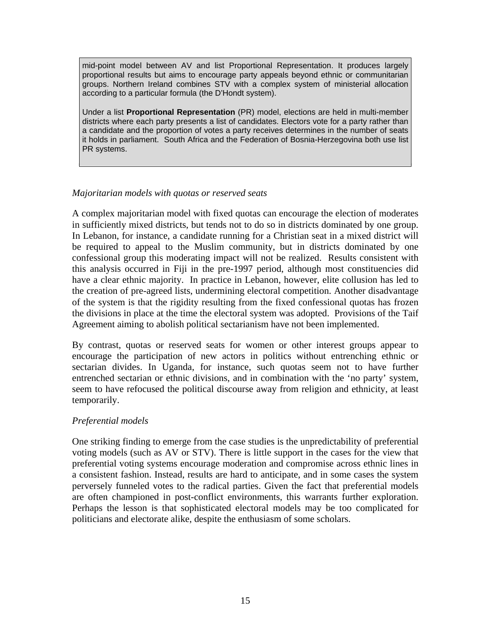<span id="page-18-0"></span>mid-point model between AV and list Proportional Representation. It produces largely proportional results but aims to encourage party appeals beyond ethnic or communitarian groups. Northern Ireland combines STV with a complex system of ministerial allocation according to a particular formula (the D'Hondt system).

Under a list **Proportional Representation** (PR) model, elections are held in multi-member districts where each party presents a list of candidates. Electors vote for a party rather than a candidate and the proportion of votes a party receives determines in the number of seats it holds in parliament. South Africa and the Federation of Bosnia-Herzegovina both use list PR systems.

#### *Majoritarian models with quotas or reserved seats*

A complex majoritarian model with fixed quotas can encourage the election of moderates in sufficiently mixed districts, but tends not to do so in districts dominated by one group. In Lebanon, for instance, a candidate running for a Christian seat in a mixed district will be required to appeal to the Muslim community, but in districts dominated by one confessional group this moderating impact will not be realized. Results consistent with this analysis occurred in Fiji in the pre-1997 period, although most constituencies did have a clear ethnic majority. In practice in Lebanon, however, elite collusion has led to the creation of pre-agreed lists, undermining electoral competition. Another disadvantage of the system is that the rigidity resulting from the fixed confessional quotas has frozen the divisions in place at the time the electoral system was adopted. Provisions of the Taif Agreement aiming to abolish political sectarianism have not been implemented.

By contrast, quotas or reserved seats for women or other interest groups appear to encourage the participation of new actors in politics without entrenching ethnic or sectarian divides. In Uganda, for instance, such quotas seem not to have further entrenched sectarian or ethnic divisions, and in combination with the 'no party' system, seem to have refocused the political discourse away from religion and ethnicity, at least temporarily.

#### *Preferential models*

One striking finding to emerge from the case studies is the unpredictability of preferential voting models (such as AV or STV). There is little support in the cases for the view that preferential voting systems encourage moderation and compromise across ethnic lines in a consistent fashion. Instead, results are hard to anticipate, and in some cases the system perversely funneled votes to the radical parties. Given the fact that preferential models are often championed in post-conflict environments, this warrants further exploration. Perhaps the lesson is that sophisticated electoral models may be too complicated for politicians and electorate alike, despite the enthusiasm of some scholars.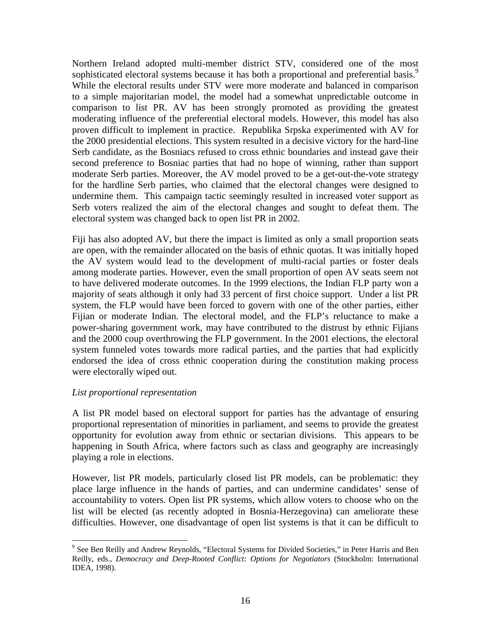<span id="page-19-0"></span>Northern Ireland adopted multi-member district STV, considered one of the most sophisticated electoral systems because it has both a proportional and preferential basis.<sup>9</sup> While the electoral results under STV were more moderate and balanced in comparison to a simple majoritarian model, the model had a somewhat unpredictable outcome in comparison to list PR. AV has been strongly promoted as providing the greatest moderating influence of the preferential electoral models. However, this model has also proven difficult to implement in practice. Republika Srpska experimented with AV for the 2000 presidential elections. This system resulted in a decisive victory for the hard-line Serb candidate, as the Bosniacs refused to cross ethnic boundaries and instead gave their second preference to Bosniac parties that had no hope of winning, rather than support moderate Serb parties. Moreover, the AV model proved to be a get-out-the-vote strategy for the hardline Serb parties, who claimed that the electoral changes were designed to undermine them. This campaign tactic seemingly resulted in increased voter support as Serb voters realized the aim of the electoral changes and sought to defeat them. The electoral system was changed back to open list PR in 2002.

Fiji has also adopted AV, but there the impact is limited as only a small proportion seats are open, with the remainder allocated on the basis of ethnic quotas. It was initially hoped the AV system would lead to the development of multi-racial parties or foster deals among moderate parties. However, even the small proportion of open AV seats seem not to have delivered moderate outcomes. In the 1999 elections, the Indian FLP party won a majority of seats although it only had 33 percent of first choice support. Under a list PR system, the FLP would have been forced to govern with one of the other parties, either Fijian or moderate Indian. The electoral model, and the FLP's reluctance to make a power-sharing government work, may have contributed to the distrust by ethnic Fijians and the 2000 coup overthrowing the FLP government. In the 2001 elections, the electoral system funneled votes towards more radical parties, and the parties that had explicitly endorsed the idea of cross ethnic cooperation during the constitution making process were electorally wiped out.

#### *List proportional representation*

A list PR model based on electoral support for parties has the advantage of ensuring proportional representation of minorities in parliament, and seems to provide the greatest opportunity for evolution away from ethnic or sectarian divisions. This appears to be happening in South Africa, where factors such as class and geography are increasingly playing a role in elections.

However, list PR models, particularly closed list PR models, can be problematic: they place large influence in the hands of parties, and can undermine candidates' sense of accountability to voters. Open list PR systems, which allow voters to choose who on the list will be elected (as recently adopted in Bosnia-Herzegovina) can ameliorate these difficulties. However, one disadvantage of open list systems is that it can be difficult to

<span id="page-19-1"></span><sup>1</sup> <sup>9</sup> See Ben Reilly and Andrew Reynolds, "Electoral Systems for Divided Societies," in Peter Harris and Ben Reilly, eds., *Democracy and Deep-Rooted Conflict: Options for Negotiators* (Stockholm: International IDEA, 1998).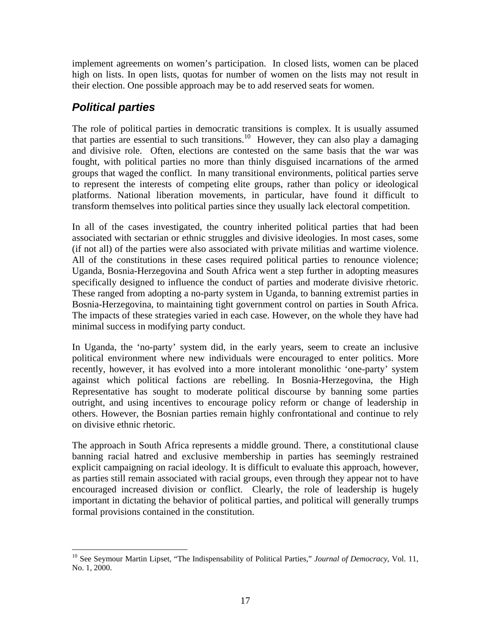<span id="page-20-0"></span>implement agreements on women's participation. In closed lists, women can be placed high on lists. In open lists, quotas for number of women on the lists may not result in their election. One possible approach may be to add reserved seats for women.

## *Political parties*

1

The role of political parties in democratic transitions is complex. It is usually assumed that parties are essential to such transitions.<sup>10</sup> However, they can also play a damaging and divisive role. Often, elections are co[nte](#page-20-1)sted on the same basis that the war was fought, with political parties no more than thinly disguised incarnations of the armed groups that waged the conflict. In many transitional environments, political parties serve to represent the interests of competing elite groups, rather than policy or ideological platforms. National liberation movements, in particular, have found it difficult to transform themselves into political parties since they usually lack electoral competition.

In all of the cases investigated, the country inherited political parties that had been associated with sectarian or ethnic struggles and divisive ideologies. In most cases, some (if not all) of the parties were also associated with private militias and wartime violence. All of the constitutions in these cases required political parties to renounce violence; Uganda, Bosnia-Herzegovina and South Africa went a step further in adopting measures specifically designed to influence the conduct of parties and moderate divisive rhetoric. These ranged from adopting a no-party system in Uganda, to banning extremist parties in Bosnia-Herzegovina, to maintaining tight government control on parties in South Africa. The impacts of these strategies varied in each case. However, on the whole they have had minimal success in modifying party conduct.

In Uganda, the 'no-party' system did, in the early years, seem to create an inclusive political environment where new individuals were encouraged to enter politics. More recently, however, it has evolved into a more intolerant monolithic 'one-party' system against which political factions are rebelling. In Bosnia-Herzegovina, the High Representative has sought to moderate political discourse by banning some parties outright, and using incentives to encourage policy reform or change of leadership in others. However, the Bosnian parties remain highly confrontational and continue to rely on divisive ethnic rhetoric.

The approach in South Africa represents a middle ground. There, a constitutional clause banning racial hatred and exclusive membership in parties has seemingly restrained explicit campaigning on racial ideology. It is difficult to evaluate this approach, however, as parties still remain associated with racial groups, even through they appear not to have encouraged increased division or conflict. Clearly, the role of leadership is hugely important in dictating the behavior of political parties, and political will generally trumps formal provisions contained in the constitution.

<span id="page-20-1"></span><sup>&</sup>lt;sup>10</sup> See Seymour Martin Lipset, "The Indispensability of Political Parties," *Journal of Democracy*, Vol. 11, No. 1, 2000.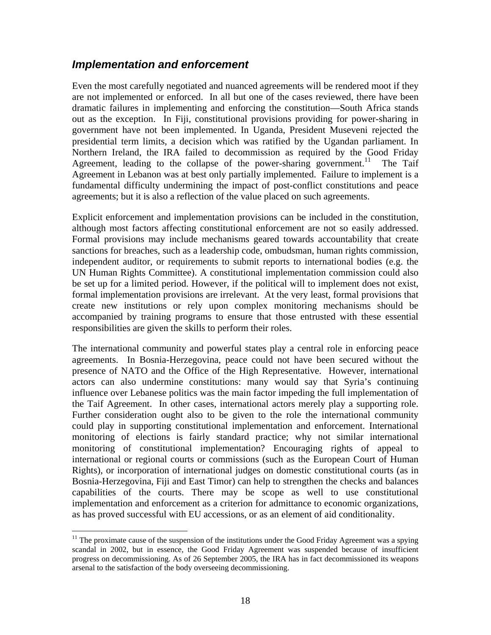## <span id="page-21-0"></span>*Implementation and enforcement*

Even the most carefully negotiated and nuanced agreements will be rendered moot if they are not implemented or enforced. In all but one of the cases reviewed, there have been dramatic failures in implementing and enforcing the constitution—South Africa stands out as the exception. In Fiji, constitutional provisions providing for power-sharing in government have not been implemented. In Uganda, President Museveni rejected the presidential term limits, a decision which was ratified by the Ugandan parliament. In Northern Ireland, the IRA failed to decommission as required by the Good Friday Agreement, leading to the collapse of the power-sharing government.<sup>11</sup> The Taif Agreement in Lebanon was at best only partially implemented. Failure to i[mp](#page-21-1)lement is a fundamental difficulty undermining the impact of post-conflict constitutions and peace agreements; but it is also a reflection of the value placed on such agreements.

Explicit enforcement and implementation provisions can be included in the constitution, although most factors affecting constitutional enforcement are not so easily addressed. Formal provisions may include mechanisms geared towards accountability that create sanctions for breaches, such as a leadership code, ombudsman, human rights commission, independent auditor, or requirements to submit reports to international bodies (e.g. the UN Human Rights Committee). A constitutional implementation commission could also be set up for a limited period. However, if the political will to implement does not exist, formal implementation provisions are irrelevant. At the very least, formal provisions that create new institutions or rely upon complex monitoring mechanisms should be accompanied by training programs to ensure that those entrusted with these essential responsibilities are given the skills to perform their roles.

The international community and powerful states play a central role in enforcing peace agreements. In Bosnia-Herzegovina, peace could not have been secured without the presence of NATO and the Office of the High Representative. However, international actors can also undermine constitutions: many would say that Syria's continuing influence over Lebanese politics was the main factor impeding the full implementation of the Taif Agreement. In other cases, international actors merely play a supporting role. Further consideration ought also to be given to the role the international community could play in supporting constitutional implementation and enforcement. International monitoring of elections is fairly standard practice; why not similar international monitoring of constitutional implementation? Encouraging rights of appeal to international or regional courts or commissions (such as the European Court of Human Rights), or incorporation of international judges on domestic constitutional courts (as in Bosnia-Herzegovina, Fiji and East Timor) can help to strengthen the checks and balances capabilities of the courts. There may be scope as well to use constitutional implementation and enforcement as a criterion for admittance to economic organizations, as has proved successful with EU accessions, or as an element of aid conditionality.

 $\overline{a}$ 

<span id="page-21-1"></span> $11$  The proximate cause of the suspension of the institutions under the Good Friday Agreement was a spying scandal in 2002, but in essence, the Good Friday Agreement was suspended because of insufficient progress on decommissioning. As of 26 September 2005, the IRA has in fact decommissioned its weapons arsenal to the satisfaction of the body overseeing decommissioning.